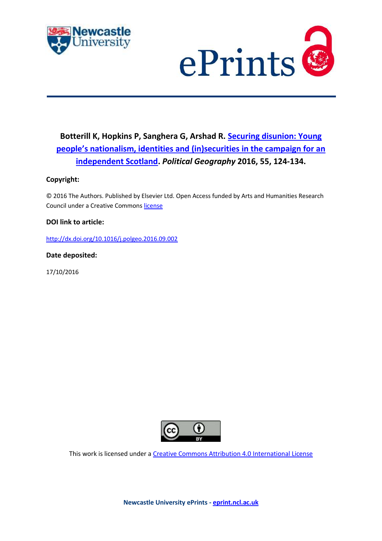



# **Botterill K, Hopkins P, Sanghera G, Arshad R. [Securing disunion: Young](https://myimpact.ncl.ac.uk/ViewPublication.aspx?id=227744)  [people's nationalism, identities and \(in\)securities in the campaign for an](https://myimpact.ncl.ac.uk/ViewPublication.aspx?id=227744)  [independent Scotland.](https://myimpact.ncl.ac.uk/ViewPublication.aspx?id=227744)** *Political Geography* **2016, 55, 124-134.**

## **Copyright:**

© 2016 The Authors. Published by Elsevier Ltd. Open Access funded by Arts and Humanities Research Council under a Creative Commons [license](http://creativecommons.org/licenses/by/4.0/)

### **DOI link to article:**

<http://dx.doi.org/10.1016/j.polgeo.2016.09.002>

**Date deposited:** 

17/10/2016



This work is licensed under [a Creative Commons Attribution 4.0 International License](http://creativecommons.org/licenses/by/4.0/)

**Newcastle University ePrints - [eprint.ncl.ac.uk](http://eprint.ncl.ac.uk/)**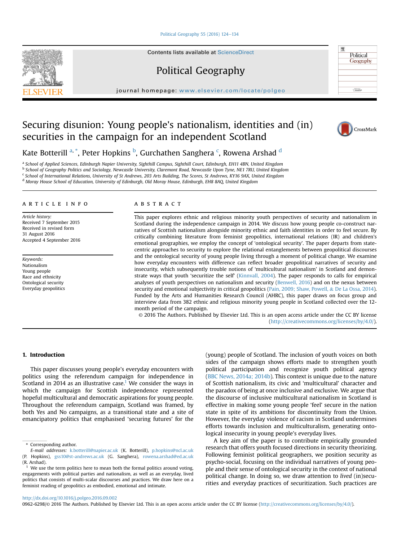#### [Political Geography 55 \(2016\) 124](http://dx.doi.org/10.1016/j.polgeo.2016.09.002)-[134](http://dx.doi.org/10.1016/j.polgeo.2016.09.002)

Contents lists available at ScienceDirect

Political Geography

journal homepage: [www.elsevier.com/locate/polgeo](http://www.elsevier.com/locate/polgeo)

## Securing disunion: Young people's nationalism, identities and (in) securities in the campaign for an independent Scotland



Political Geography

Kate Botterill <sup>a, \*</sup>, Peter Hopkins <sup>b</sup>, Gurchathen Sanghera <sup>c</sup>, Rowena Arshad <sup>d</sup>

a School of Applied Sciences, Edinburgh Napier University, Sighthill Campus, Sighthill Court, Edinburgh, EH11 4BN, United Kingdom <sup>b</sup> School of Geography Politics and Sociology, Newcastle University, Claremont Road, Newcastle Upon Tyne, NE1 7RU, United Kingdom <sup>c</sup> School of International Relations, University of St Andrews, 203 Arts Building, The Scores, St Andrews, KY16 9AX, United Kingdom

<sup>d</sup> Moray House School of Education, University of Edinburgh, Old Moray House, Edinburgh, EH8 8AQ, United Kingdom

#### article info

Article history: Received 7 September 2015 Received in revised form 31 August 2016 Accepted 4 September 2016

Keywords: Nationalism Young people Race and ethnicity Ontological security Everyday geopolitics

#### ABSTRACT

This paper explores ethnic and religious minority youth perspectives of security and nationalism in Scotland during the independence campaign in 2014. We discuss how young people co-construct narratives of Scottish nationalism alongside minority ethnic and faith identities in order to feel secure. By critically combining literature from feminist geopolitics, international relations (IR) and children's emotional geographies, we employ the concept of 'ontological security'. The paper departs from statecentric approaches to security to explore the relational entanglements between geopolitical discourses and the ontological security of young people living through a moment of political change. We examine how everyday encounters with difference can reflect broader geopolitical narratives of security and insecurity, which subsequently trouble notions of 'multicultural nationalism' in Scotland and demonstrate ways that youth 'securitize the self' [\(Kinnvall, 2004\)](#page-10-0). The paper responds to calls for empirical analyses of youth perspectives on nationalism and security [\(Benwell, 2016\)](#page-10-0) and on the nexus between security and emotional subjectivity in critical geopolitics ([Pain, 2009; Shaw, Powell,](#page-10-0) & [De La Ossa, 2014](#page-10-0)). Funded by the Arts and Humanities Research Council (AHRC), this paper draws on focus group and interview data from 382 ethnic and religious minority young people in Scotland collected over the 12 month period of the campaign.

© 2016 The Authors. Published by Elsevier Ltd. This is an open access article under the CC BY license [\(http://creativecommons.org/licenses/by/4.0/](http://creativecommons.org/licenses/by/4.0/)).

#### 1. Introduction

This paper discusses young people's everyday encounters with politics using the referendum campaign for independence in Scotland in 2014 as an illustrative case.<sup>1</sup> We consider the ways in which the campaign for Scottish independence represented hopeful multicultural and democratic aspirations for young people. Throughout the referendum campaign, Scotland was framed, by both Yes and No campaigns, as a transitional state and a site of emancipatory politics that emphasised 'securing futures' for the (young) people of Scotland. The inclusion of youth voices on both sides of the campaign shows efforts made to strengthen youth political participation and recognize youth political agency ([BBC News, 2014a; 2014b\)](#page-10-0). This context is unique due to the nature of Scottish nationalism, its civic and 'multicultural' character and the paradox of being at once inclusive and exclusive. We argue that the discourse of inclusive multicultural nationalism in Scotland is effective in making some young people 'feel' secure in the nation state in spite of its ambitions for discontinuity from the Union. However, the everyday violence of racism in Scotland undermines efforts towards inclusion and multiculturalism, generating ontological insecurity in young people's everyday lives.

A key aim of the paper is to contribute empirically grounded research that offers youth focused directions in security theorizing. Following feminist political geographers, we position security as psycho-social, focusing on the individual narratives of young people and their sense of ontological security in the context of national political change. In doing so, we draw attention to lived (in)securities and everyday practices of securitization. Such practices are

#### <http://dx.doi.org/10.1016/j.polgeo.2016.09.002>

0962-6298/© 2016 The Authors. Published by Elsevier Ltd. This is an open access article under the CC BY license [\(http://creativecommons.org/licenses/by/4.0/](http://creativecommons.org/licenses/by/4.0/)).



<sup>\*</sup> Corresponding author.

E-mail addresses: [k.botterill@napier.ac.uk](mailto:k.botterill@napier.ac.uk) (K. Botterill), [p.hopkins@ncl.ac.uk](mailto:p.hopkins@ncl.ac.uk) (P. Hopkins), [gss10@st-andrews.ac.uk](mailto:gss10@st-andrews.ac.uk) (G. Sanghera), [rowena.arshad@ed.ac.uk](mailto:rowena.arshad@ed.ac.uk) (R. Arshad).

 $1$  We use the term politics here to mean both the formal politics around voting, engagements with political parties and nationalism, as well as an everyday, lived politics that consists of multi-scalar discourses and practices. We draw here on a feminist reading of geopolitics as embodied, emotional and intimate.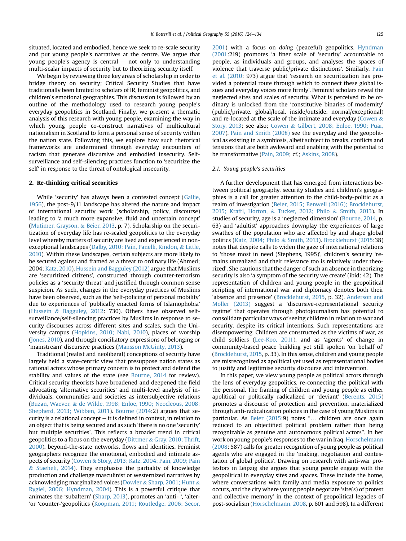situated, located and embodied, hence we seek to re-scale security and put young people's narratives at the centre. We argue that young people's agency is central  $-$  not only to understanding multi-scalar impacts of security but to theorizing security itself.

We begin by reviewing three key areas of scholarship in order to bridge theory on security; Critical Security Studies that have traditionally been limited to scholars of IR, feminist geopolitics, and children's emotional geographies. This discussion is followed by an outline of the methodology used to research young people's everyday geopolitics in Scotland. Finally, we present a thematic analysis of this research with young people, examining the way in which young people co-construct narratives of multicultural nationalism in Scotland to form a personal sense of security within the nation state. Following this, we explore how such rhetorical frameworks are undermined through everyday encounters of racism that generate discursive and embodied insecurity. Selfsurveillance and self-silencing practices function to 'securitize the self' in response to the threat of ontological insecurity.

#### 2. Re-thinking critical securities

While 'security' has always been a contested concept [\(Gallie,](#page-10-0) [1956\)](#page-10-0), the post-9/11 landscape has altered the nature and impact of international security work (scholarship, policy, discourse) leading to 'a much more expansive, fluid and uncertain concept' ([Mutimer, Grayson,](#page-10-0) & [Beier, 2013](#page-10-0), p. 7). Scholarship on the securitization of everyday life has re-scaled geopolitics to the everyday level whereby matters of security are lived and experienced in nonexceptional landscapes [\(Dalby, 2010; Pain, Panelli, Kindon,](#page-10-0) & [Little,](#page-10-0) [2010\)](#page-10-0). Within these landscapes, certain subjects are more likely to be secured against and framed as a threat to ordinary life (Ahmed; 2004; [Katz, 2010\)](#page-10-0). [Hussein and Bagguley \(2012\)](#page-10-0) argue that Muslims are 'securitized citizens', constructed through counter-terrorism policies as a 'security threat' and justified through common sense suspicion. As such, changes in the everyday practices of Muslims have been observed, such as the 'self-policing of personal mobility' due to experiences of 'publically enacted forms of Islamophobia' ([Hussein](#page-10-0) & [Bagguley, 2012:](#page-10-0) 730). Others have observed selfsurveillance/self-silencing practices by Muslims in response to security discourses across different sites and scales, such the University campus ([Hopkins, 2010; Nabi, 2010\)](#page-10-0), places of worship ([Jones, 2010\)](#page-10-0), and through conciliatory expressions of belonging or 'mainstream' discursive practices [\(Mansson McGinty, 2013](#page-10-0)).

Traditional (realist and neoliberal) conceptions of security have largely held a state-centric view that presuppose nation states as rational actors whose primary concern is to protect and defend the stability and values of the state (see [Bourne, 2014](#page-10-0) for review). Critical security theorists have broadened and deepened the field advocating 'alternative securities' and multi-level analysis of individuals, communities and societies as intersubjective relations ([Buzan, Waever,](#page-10-0) & [de Wilde, 1998; Enloe, 1990; Neocleous, 2008;](#page-10-0) [Shepherd, 2013; Wibben, 2011](#page-10-0)). [Bourne \(2014](#page-10-0):2) argues that security is a relational concept  $-$  it is defined in context, in relation to an object that is being secured and as such 'there is no one 'security' but multiple securities'. This reflects a broader trend in critical geopolitics to a focus on the everyday ([Dittmer](#page-10-0) & [Gray, 2010; Thrift,](#page-10-0) [2000](#page-10-0)), beyond-the-state networks, flows and identities. Feminist geographers recognize the emotional, embodied and intimate aspects of security ([Cowen](#page-10-0) & [Story, 2013; Katz, 2004; Pain, 2009; Pain](#page-10-0)  $&$  [Staeheli, 2014\)](#page-10-0). They emphasise the partiality of knowledge production and challenge masculinist or westernized narratives by acknowledging marginalized voices [\(Dowler](#page-10-0) & [Sharp, 2001; Hunt](#page-10-0) & [Rygiel, 2006; Hyndman, 2004](#page-10-0)). This is a powerful critique that animates the 'subaltern' ([Sharp, 2013](#page-11-0)), promotes an 'anti- ', 'alter- 'or 'counter-'geopolitics [\(Koopman, 2011; Routledge, 2006; Secor,](#page-10-0) [2001](#page-10-0)) with a focus on doing (peaceful) geopolitics. [Hyndman](#page-10-0) [\(2001:](#page-10-0)219) promotes 'a finer scale of 'security' accountable to people, as individuals and groups, and analyses the spaces of violence that traverse public/private distinctions'. Similarly, [Pain](#page-10-0) [et al. \(2010](#page-10-0): 973) argue that 'research on securitization has provided a potential route through which to connect these global issues and everyday voices more firmly'. Feminist scholars reveal the neglected sites and scales of security. What is perceived to be ordinary is unlocked from the 'constitutive binaries of modernity' (public/private, global/local, inside/outside, normal/exceptional) and re-located at the scale of the intimate and everyday [\(Cowen](#page-10-0)  $\&$ [Story, 2013](#page-10-0); see also; [Cowen](#page-10-0) & [Gilbert, 2008; Enloe, 1990; Puar,](#page-10-0) [2007\)](#page-10-0). [Pain and Smith \(2008\)](#page-10-0) see the everyday and the geopolitical as existing in a symbiosis, albeit subject to breaks, conflicts and tensions that are both awkward and enabling with the potential to be transformative [\(Pain, 2009](#page-10-0); cf.; [Askins, 2008](#page-10-0)).

#### 2.1. Young people's securities

A further development that has emerged from interactions between political geography, security studies and children's geographies is a call for greater attention to the child-body-politic as a realm of investigation ([Beier, 2015; Benwell \(2016\); Brocklehurst,](#page-10-0) [2015; Kraftl, Horton,](#page-10-0) & [Tucker, 2012; Philo](#page-10-0) & [Smith, 2013\)](#page-10-0). In studies of security, age is a 'neglected dimension' [\(Bourne, 2014,](#page-10-0) p. 63) and 'adultist' approaches downplay the experiences of large swathes of the population who are affected by and shape global politics ([Katz, 2004; Philo](#page-10-0) & [Smith, 2013\)](#page-10-0). [Brocklehurst \(2015](#page-10-0):38) notes that despite calls to widen the gaze of international relations to 'those most in need (Stephens, 1995)', children's security 'remains unrealized and their relevance too is relatively under theorized'. She cautions that the danger of such an absence in theorizing security is also 'a symptom of the security we create' (ibid: 42). The representation of children and young people in the geopolitical scripting of international war and diplomacy denotes both their 'absence and presence' ([Brocklehurst, 2015,](#page-10-0) p. 32). [Anderson and](#page-10-0) [Moller \(2013\)](#page-10-0) suggest a 'discursive-representational security regime' that operates through photojournalism has potential to consolidate particular ways of seeing children in relation to war and security, despite its critical intentions. Such representations are disempowering. Children are constructed as the victims of war, as child soldiers [\(Lee-Koo, 2011](#page-10-0)), and as 'agents' of change in community-based peace building yet still spoken 'on behalf of' ([Brocklehurst, 2015](#page-10-0), p. 33). In this sense, children and young people are misrecognized as apolitical yet used as representational bodies to justify and legitimise security discourse and intervention.

In this paper, we view young people as political actors through the lens of everyday geopolitics, re-connecting the political with the personal. The framing of children and young people as either apolitical or politically radicalized or 'deviant' ([Berents, 2015\)](#page-10-0) promotes a discourse of protection and prevention, materialized through anti-radicalization policies in the case of young Muslims in particular. As [Beier \(2015](#page-10-0):9) notes "… children are once again reduced to an objectified political problem rather than being recognizable as genuine and autonomous political actors". In her work on young people's responses to the war in Iraq, [Horschelmann](#page-10-0) [\(2008:](#page-10-0) 587) calls for greater recognition of young people as political agents who are engaged in the 'making, negotiation and contestation of global politics'. Drawing on research with anti-war protestors in Leipzig she argues that young people engage with the geopolitical in everyday sites and spaces. These include the home, where conversations with family and media exposure to politics occurs, and the city where young people negotiate 'site(s) of protest and collective memory' in the context of geopolitical legacies of post-socialism ([Horschelmann, 2008](#page-10-0), p. 601 and 598). In a different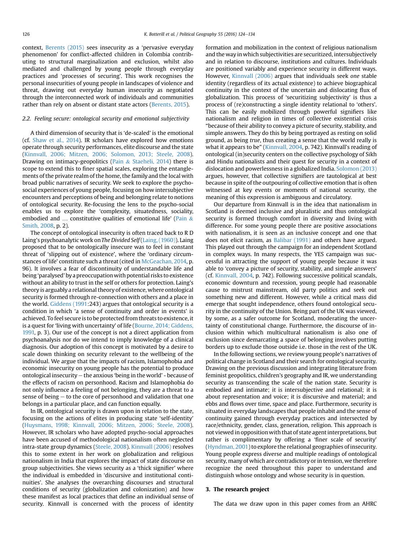context, [Berents \(2015\)](#page-10-0) sees insecurity as a 'pervasive everyday phenomenon' for conflict-affected children in Colombia contributing to structural marginalization and exclusion, whilst also mediated and challenged by young people through everyday practices and 'processes of securing'. This work recognises the personal insecurities of young people in landscapes of violence and threat, drawing out everyday human insecurity as negotiated through the interconnected work of individuals and communities rather than rely on absent or distant state actors [\(Berents, 2015](#page-10-0)).

#### 2.2. Feeling secure: ontological security and emotional subjectivity

A third dimension of security that is 'de-scaled' is the emotional (cf. [Shaw et al., 2014\)](#page-11-0). IR scholars have explored how emotions operate through security performances, elite discourse and the state ([Kinnvall, 2006; Mitzen, 2006; Solomon, 2013; Steele, 2008\)](#page-10-0). Drawing on intimacy-geopolitics ([Pain](#page-10-0) & [Staeheli, 2014\)](#page-10-0) there is scope to extend this to finer spatial scales, exploring the entanglements of the private realm of the home, the family and the local with broad public narratives of security. We seek to explore the psychosocial experiences of young people, focusing on how intersubjective encounters and perceptions of being and belonging relate to notions of ontological security. Re-focusing the lens to the psycho-social enables us to explore the 'complexity, situatedness, sociality, embodied and  $\ldots$  constitutive qualities of emotional life' [\(Pain](#page-10-0) & [Smith, 2008,](#page-10-0) p. 2).

The concept of ontological insecurity is often traced back to R D Laing's psychoanalytic work on The Divided Self [\(Laing, \(1960\)](#page-10-0)). Laing proposed that to be ontologically insecure was to feel in constant threat of 'slipping out of existence', where the 'ordinary circumstances of life' constitute such a threat (cited in [McGeachan, 2014](#page-10-0), p. 96). It involves a fear of discontinuity of understandable life and being 'paralysed' by a preoccupation with potential risks to existence without an ability to trust in the self or others for protection. Laing's theory is arguably a relational theory of existence, where ontological security is formed through re-connection with others and a place in the world. [Giddens \(1991](#page-10-0):243) argues that ontological security is a condition in which 'a sense of continuity and order in events' is achieved. To feel secure is to be protected from threats to existence, it is a quest for 'living with uncertainty' of life ([Bourne, 2014; Giddens,](#page-10-0) [1991,](#page-10-0) p. 3). Our use of the concept is not a direct application from psychoanalysis nor do we intend to imply knowledge of a clinical diagnosis. Our adoption of this concept is motivated by a desire to scale down thinking on security relevant to the wellbeing of the individual. We argue that the impacts of racism, Islamophobia and economic insecurity on young people has the potential to produce ontological insecurity - the anxious 'being in the world' - because of the effects of racism on personhood. Racism and Islamophobia do not only influence a feeling of not belonging, they are a threat to a sense of being  $-$  to the core of personhood and validation that one belongs in a particular place, and can function equally.

In IR, ontological security is drawn upon in relation to the state, focusing on the actions of elites in producing state 'self-identity' ([Huysmans, 1998; Kinnvall, 2006; Mitzen, 2006; Steele, 2008\)](#page-10-0). However, IR scholars who have adopted psycho-social approaches have been accused of methodological nationalism often neglected intra-state group dynamics ([Steele, 2008\)](#page-11-0). [Kinnvall \(2006\)](#page-10-0) resolves this to some extent in her work on globalization and religious nationalism in India that explores the impact of state discourse on group subjectivities. She views security as a 'thick signifier' where the individual is embedded in 'discursive and institutional continuities'. She analyses the overarching discourses and structural conditions of security (globalization and colonization) and how these manifest as local practices that define an individual sense of security. Kinnvall is concerned with the process of identity formation and mobilization in the context of religious nationalism and the way inwhich subjectivities are securitized, intersubjectively and in relation to discourse, institutions and cultures. Individuals are positioned variably and experience security in different ways. However, [Kinnvall \(2006\)](#page-10-0) argues that individuals seek one stable identity (regardless of its actual existence) to achieve biographical continuity in the context of the uncertain and dislocating flux of globalization. This process of 'securitizing subjectivity' is thus a process of (re)constructing a single identity relational to 'others'. This can be easily mobilized through powerful signifiers like nationalism and religion in times of collective existential crisis "because of their ability to convey a picture of security, stability, and simple answers. They do this by being portrayed as resting on solid ground, as being true, thus creating a sense that the world really is what it appears to be" [\(Kinnvall, 2004](#page-10-0), p. 742). Kinnvall's reading of ontological (in)security centers on the collective psychology of Sikh and Hindu nationalists and their quest for security in a context of dislocation and powerlessness in a globalized India. [Solomon \(2013\)](#page-11-0) argues, however, that collective signifiers are tautological at best because in spite of the outpouring of collective emotion that is often witnessed at key events or moments of national security, the meaning of this expression is ambiguous and circulatory.

Our departure from Kinnvall is in the idea that nationalism in Scotland is deemed inclusive and pluralistic and thus ontological security is formed through comfort in diversity and living with difference. For some young people there are positive associations with nationalism, it is seen as an inclusive concept and one that does not elicit racism, as [Balibar \(1991\)](#page-10-0) and others have argued. This played out through the campaign for an independent Scotland in complex ways. In many respects, the YES campaign was successful in attracting the support of young people because it was able to 'convey a picture of security, stability, and simple answers' (cf. [Kinnvall, 2004,](#page-10-0) p. 742). Following successive political scandals, economic downturn and recession, young people had reasonable cause to mistrust mainstream, old party politics and seek out something new and different. However, while a critical mass did emerge that sought independence, others found ontological security in the continuity of the Union. Being part of the UK was viewed, by some, as a safer outcome for Scotland, moderating the uncertainty of constitutional change. Furthermore, the discourse of inclusion within which multicultural nationalism is also one of exclusion since demarcating a space of belonging involves putting borders up to exclude those outside i.e. those in the rest of the UK.

In the following sections, we review young people's narratives of political change in Scotland and their search for ontological security. Drawing on the previous discussion and integrating literature from feminist geopolitics, children's geography and IR, we understanding security as transcending the scale of the nation state. Security is embodied and intimate; it is intersubjective and relational; it is about representation and voice; it is discursive and material; and ebbs and flows over time, space and place. Furthermore, security is situated in everyday landscapes that people inhabit and the sense of continuity gained through everyday practices and intersected by race/ethnicity, gender, class, generation, religion. This approach is not viewed in oppositionwith that of state agent interpretations, but rather is complimentary by offering a 'finer scale of security' ([Hyndman, 2001](#page-10-0)) to explore the relational geographies of insecurity. Young people express diverse and multiple readings of ontological security, many of which are contradictory or in tension, we therefore recognize the need throughout this paper to understand and distinguish whose ontology and whose security is in question.

#### 3. The research project

The data we draw upon in this paper comes from an AHRC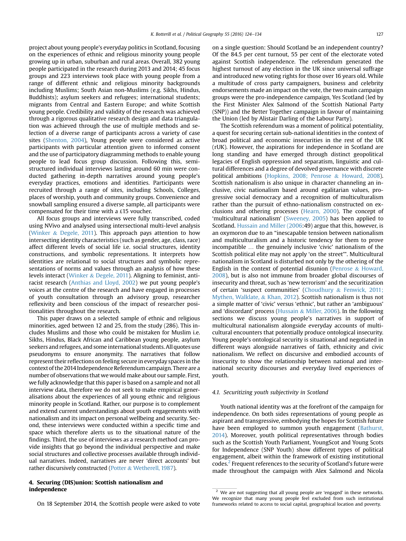project about young people's everyday politics in Scotland, focusing on the experiences of ethnic and religious minority young people growing up in urban, suburban and rural areas. Overall, 382 young people participated in the research during 2013 and 2014; 45 focus groups and 223 interviews took place with young people from a range of different ethnic and religious minority backgrounds including Muslims; South Asian non-Muslims (e.g. Sikhs, Hindus, Buddhists); asylum seekers and refugees; international students; migrants from Central and Eastern Europe; and white Scottish young people. Credibility and validity of the research was achieved through a rigorous qualitative research design and data triangulation was achieved through the use of multiple methods and selection of a diverse range of participants across a variety of case sites ([Shenton, 2004](#page-11-0)), Young people were considered as active participants with particular attention given to informed consent and the use of participatory diagramming methods to enable young people to lead focus group discussion. Following this, semistructured individual interviews lasting around 60 min were conducted gathering in-depth narratives around young people's everyday practices, emotions and identities. Participants were recruited through a range of sites, including Schools, Colleges, places of worship, youth and community groups. Convenience and snowball sampling ensured a diverse sample, all participants were compensated for their time with a £15 voucher.

All focus groups and interviews were fully transcribed, coded using NVivo and analysed using intersectional multi-level analysis ([Winker](#page-11-0) & [Degele, 2011\)](#page-11-0). This approach pays attention to how intersecting identity characteristics (such as gender, age, class, race) affect different levels of social life i.e. social structures, identity constructions, and symbolic representations. It interprets how identities are relational to social structures and symbolic representations of norms and values through an analysis of how these levels interact [\(Winker](#page-11-0) & [Degele, 2011\)](#page-11-0). Aligning to feminist, antiracist research [\(Anthias and Lloyd, 2002\)](#page-10-0) we put young people's voices at the centre of the research and have engaged in processes of youth consultation through an advisory group, researcher reflexivity and been conscious of the impact of researcher positionalities throughout the research.

This paper draws on a selected sample of ethnic and religious minorities, aged between 12 and 25, from the study (286). This includes Muslims and those who could be mistaken for Muslim i.e. Sikhs, Hindus, Black African and Caribbean young people, asylum seekers and refugees, and some international students. All quotes use pseudonyms to ensure anonymity. The narratives that follow represent their reflections on feeling secure in everyday spaces in the context of the 2014 Independence Referendum campaign. There are a number of observations that we would make about our sample. First, we fully acknowledge that this paper is based on a sample and not all interview data, therefore we do not seek to make empirical generalisations about the experiences of all young ethnic and religious minority people in Scotland. Rather, our purpose is to complement and extend current understandings about youth engagements with nationalism and its impact on personal wellbeing and security. Second, these interviews were conducted within a specific time and space which therefore alerts us to the situational nature of the findings. Third, the use of interviews as a research method can provide insights that go beyond the individual perspective and make social structures and collective processes available through individual narratives. Indeed, narratives are never 'direct accounts' but rather discursively constructed ([Potter](#page-11-0) & [Wetherell, 1987](#page-11-0)).

#### 4. Securing (DIS)union: Scottish nationalism and independence

On 18 September 2014, the Scottish people were asked to vote

on a single question: Should Scotland be an independent country? Of the 84.5 per cent turnout, 55 per cent of the electorate voted against Scottish independence. The referendum generated the highest turnout of any election in the UK since universal suffrage and introduced new voting rights for those over 16 years old. While a multitude of cross party campaigners, business and celebrity endorsements made an impact on the vote, the two main campaign groups were the pro-independence campaign, Yes Scotland (led by the First Minister Alex Salmond of the Scottish National Party (SNP)) and the Better Together campaign in favour of maintaining the Union (led by Alistair Darling of the Labour Party).

The Scottish referendum was a moment of political potentiality, a quest for securing certain sub-national identities in the context of broad political and economic insecurities in the rest of the UK (rUK). However, the aspirations for independence in Scotland are long standing and have emerged through distinct geopolitical legacies of English oppression and separatism, linguistic and cultural differences and a degree of devolved governance with discrete political ambitions ([Hopkins, 2008; Penrose](#page-10-0) & [Howard, 2008\)](#page-10-0). Scottish nationalism is also unique in character channeling an inclusive, civic nationalism based around egalitarian values, progressive social democracy and a recognition of multiculturalism rather than the pursuit of ethno-nationalism constructed on exclusions and othering processes [\(Hearn, 2000\)](#page-10-0). The concept of 'multicultural nationalism' ([Sweeney, 2005\)](#page-11-0) has been applied to Scotland. [Hussain and Miller \(2006](#page-10-0):49) argue that this, however, is an oxymoron due to an "inescapable tension between nationalism and multiculturalism and a historic tendency for them to prove incompatible … the genuinely inclusive 'civic' nationalism of the Scottish political elite may not apply 'on the street'". Multicultural nationalism in Scotland is disturbed not only by the othering of the English in the context of potential disunion ([Penrose](#page-10-0) & [Howard,](#page-10-0) [2008\)](#page-10-0), but is also not immune from broader global discourses of insecurity and threat, such as 'new terrorism' and the securitization of certain 'suspect communities' [\(Choudhury](#page-10-0) & [Fenwick, 2011;](#page-10-0) [Mythen, Walklate,](#page-10-0) & [Khan, 2012\)](#page-10-0). Scottish nationalism is thus not a simple matter of 'civic' versus 'ethnic', but rather an 'ambiguous' and 'discordant' process ([Hussain](#page-10-0) & [Miller, 2006\)](#page-10-0). In the following sections we discuss young people's narratives in support of multicultural nationalism alongside everyday accounts of multicultural encounters that potentially produce ontological insecurity. Young people's ontological security is situational and negotiated in different ways alongside narratives of faith, ethnicity and civic nationalism. We reflect on discursive and embodied accounts of insecurity to show the relationship between national and international security discourses and everyday lived experiences of youth.

#### 4.1. Securitizing youth subjectivity in Scotland

Youth national identity was at the forefront of the campaign for independence. On both sides representations of young people as aspirant and transgressive, embodying the hopes for Scottish future have been employed to summon youth engagement ([Bathurst,](#page-10-0) [2014\)](#page-10-0). Moreover, youth political representatives through bodies such as the Scottish Youth Parliament, YoungScot and Young Scots for Independence (SNP Youth) show different types of political engagement, albeit within the framework of existing institutional codes.2 Frequent references to the security of Scotland's future were made throughout the campaign with Alex Salmond and Nicola

<sup>&</sup>lt;sup>2</sup> We are not suggesting that all young people are 'engaged' in these networks. We recognize that many young people feel excluded from such institutional frameworks related to access to social capital, geographical location and poverty.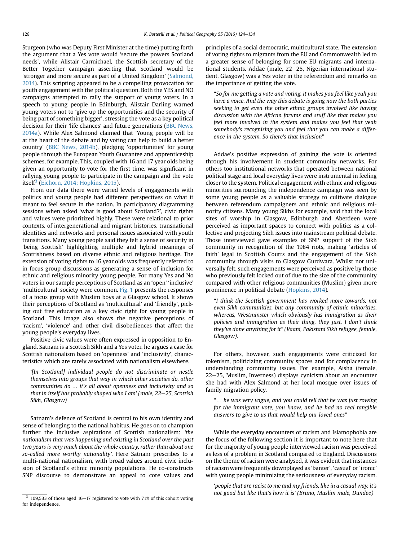Sturgeon (who was Deputy First Minister at the time) putting forth the argument that a Yes vote would 'secure the powers Scotland needs', while Alistair Carmichael, the Scottish secretary of the Better Together campaign asserting that Scotland would be 'stronger and more secure as part of a United Kingdom' ([Salmond,](#page-11-0) [2014](#page-11-0)). This scripting appeared to be a compelling provocation for youth engagement with the political question. Both the YES and NO campaigns attempted to rally the support of young voters. In a speech to young people in Edinburgh, Alistair Darling warned young voters not to 'give up the opportunities and the security of being part of something bigger', stressing the vote as a key political decision for their 'life chances' and future generations ([BBC News,](#page-10-0) [2014a](#page-10-0)). While Alex Salmond claimed that 'Young people will be at the heart of the debate and by voting can help to build a better country' [\(BBC News, 2014b](#page-10-0)), pledging 'opportunities' for young people through the European Youth Guarantee and apprenticeship schemes, for example. This, coupled with 16 and 17 year olds being given an opportunity to vote for the first time, was significant in rallying young people to participate in the campaign and the vote itself<sup>3</sup> [\(Eichorn, 2014; Hopkins, 2015](#page-10-0)).

From our data there were varied levels of engagements with politics and young people had different perspectives on what it meant to feel secure in the nation. In participatory diagramming sessions when asked 'what is good about Scotland?', civic rights and values were prioritized highly. These were relational to prior contexts, of intergenerational and migrant histories, transnational identities and networks and personal issues associated with youth transitions. Many young people said they felt a sense of security in 'being Scottish' highlighting multiple and hybrid meanings of Scottishness based on diverse ethnic and religious heritage. The extension of voting rights to 16 year olds was frequently referred to in focus group discussions as generating a sense of inclusion for ethnic and religious minority young people. For many Yes and No voters in our sample perceptions of Scotland as an 'open' 'inclusive' 'multicultural' society were common. [Fig. 1](#page-6-0) presents the responses of a focus group with Muslim boys at a Glasgow school. It shows their perceptions of Scotland as 'multicultural' and 'friendly', picking out free education as a key civic right for young people in Scotland. This image also shows the negative perceptions of 'racism', 'violence' and other civil disobediences that affect the young people's everyday lives.

Positive civic values were often expressed in opposition to England. Satnam is a Scottish Sikh and a Yes voter, he argues a case for Scottish nationalism based on 'openness' and 'inclusivity', characteristics which are rarely associated with nationalism elsewhere.

'[In Scotland] individual people do not discriminate or nestle themselves into groups that way in which other societies do, other communities do … it's all about openness and inclusivity and so that in itself has probably shaped who I am' (male,  $22-25$ , Scottish Sikh, Glasgow)

Satnam's defence of Scotland is central to his own identity and sense of belonging to the national habitus. He goes on to champion further the inclusive aspirations of Scottish nationalism: 'the nationalism that was happening and existing in Scotland over the past two years is very much about the whole country, rather than about one so-called more worthy nationality'. Here Satnam prescribes to a multi-national nationalism, with broad values around civic inclusion of Scotland's ethnic minority populations. He co-constructs SNP discourse to demonstrate an appeal to core values and

principles of a social democratic, multicultural state. The extension of voting rights to migrants from the EU and Commonwealth led to a greater sense of belonging for some EU migrants and international students. Addae (male, 22-25, Nigerian international student, Glasgow) was a Yes voter in the referendum and remarks on the importance of getting the vote.

"So for me getting a vote and voting, it makes you feel like yeah you have a voice. And the way this debate is going now the both parties seeking to get even the other ethnic groups involved like having discussion with the African forums and stuff like that makes you feel more involved in the system and makes you feel that yeah somebody's recognising you and feel that you can make a difference in the system. So there's that inclusion"

Addae's positive expression of gaining the vote is oriented through his involvement in student community networks. For others too institutional networks that operated between national political stage and local everyday lives were instrumental in feeling closer to the system. Political engagement with ethnic and religious minorities surrounding the independence campaign was seen by some young people as a valuable strategy to cultivate dialogue between referendum campaigners and ethnic and religious minority citizens. Many young Sikhs for example, said that the local sites of worship in Glasgow, Edinburgh and Aberdeen were perceived as important spaces to connect with politics as a collective and projecting Sikh issues into mainstream political debate. Those interviewed gave examples of SNP support of the Sikh community in recognition of the 1984 riots, making 'articles of faith' legal in Scottish Courts and the engagement of the Sikh community through visits to Glasgow Gurdwara. Whilst not universally felt, such engagements were perceived as positive by those who previously felt locked out of due to the size of the community compared with other religious communities (Muslim) given more prominence in political debate [\(Hopkins, 2014](#page-10-0)).

"I think the Scottish government has worked more towards, not even Sikh communities, but any community of ethnic minorities, whereas, Westminster which obviously has immigration as their policies and immigration as their thing, they just, I don't think they've done anything for it" (Vaani, Pakistani Sikh refugee, female, Glasgow).

For others, however, such engagements were criticized for tokenism, politicizing community spaces and for complacency in understanding community issues. For example, Aisha (female, 22-25, Muslim, Inverness) displays cynicism about an encounter she had with Alex Salmond at her local mosque over issues of family migration policy.

"… he was very vague, and you could tell that he was just rowing for the immigrant vote, you know, and he had no real tangible answers to give to us that would help our loved ones"

While the everyday encounters of racism and Islamophobia are the focus of the following section it is important to note here that for the majority of young people interviewed racism was perceived as less of a problem in Scotland compared to England. Discussions on the theme of racism were analysed, it was evident that instances of racism were frequently downplayed as 'banter', 'casual' or 'ironic' with young people minimizing the seriousness of everyday racism.

'people that are racist to me and my friends, like in a casual way, it's  $\frac{3}{3}$  109,533 of those aged 16–17 registered to vote with 71% of this cohort voting  $\frac{3}{3}$  109,533 of those aged 16–17 registered to vote with 71% of this cohort voting

for independence.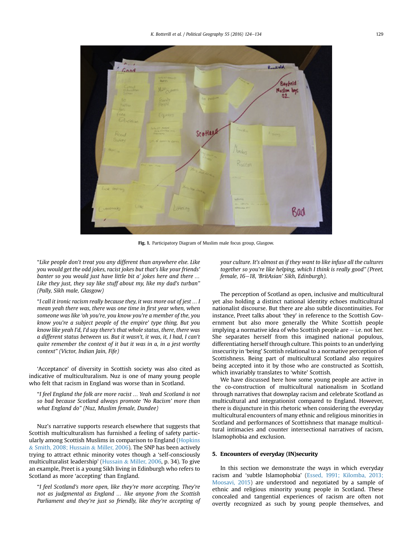<span id="page-6-0"></span>

Fig. 1. Participatory Diagram of Muslim male focus group, Glasgow.

"Like people don't treat you any different than anywhere else. Like you would get the odd jokes, racist jokes but that's like your friends' banter so you would just have little bit a' jokes here and there … Like they just, they say like stuff about my, like my dad's turban" (Pally, Sikh male, Glasgow)

"I call it ironic racism really because they, it was more out of jest … I mean yeah there was, there was one time in first year when, when someone was like 'oh you're, you know you're a member of the, you know you're a subject people of the empire' type thing. But you know like yeah I'd, I'd say there's that whole status, there, there was a different status between us. But it wasn't, it was, it, I had, I can't quite remember the context of it but it was in a, in a jest worthy context" (Victor, Indian Jain, Fife)

'Acceptance' of diversity in Scottish society was also cited as indicative of multiculturalism. Nuz is one of many young people who felt that racism in England was worse than in Scotland.

"I feel England the folk are more racist … Yeah and Scotland is not so bad because Scotland always promote 'No Racism' more than what England do" (Nuz, Muslim female, Dundee)

Nuz's narrative supports research elsewhere that suggests that Scottish multiculturalism has furnished a feeling of safety particularly among Scottish Muslims in comparison to England [\(Hopkins](#page-10-0) & [Smith, 2008; Hussain](#page-10-0) & [Miller, 2006](#page-10-0)). The SNP has been actively trying to attract ethnic minority votes though a 'self-consciously multiculturalist leadership' [\(Hussain](#page-10-0) & [Miller, 2006,](#page-10-0) p. 34). To give an example, Preet is a young Sikh living in Edinburgh who refers to Scotland as more 'accepting' than England.

"I feel Scotland's more open, like they're more accepting. They're not as judgmental as England … like anyone from the Scottish Parliament and they're just so friendly, like they're accepting of

your culture. It's almost as if they want to like infuse all the cultures together so you're like helping, which I think is really good" (Preet, female, 16-18, 'BritAsian' Sikh, Edinburgh).

The perception of Scotland as open, inclusive and multicultural yet also holding a distinct national identity echoes multicultural nationalist discourse. But there are also subtle discontinuities. For instance, Preet talks about 'they' in reference to the Scottish Government but also more generally the White Scottish people implying a normative idea of who Scottish people are  $-$  i.e. not her. She separates herself from this imagined national populous, differentiating herself through culture. This points to an underlying insecurity in 'being' Scottish relational to a normative perception of Scottishness. Being part of multicultural Scotland also requires being accepted into it by those who are constructed as Scottish, which invariably translates to 'white' Scottish.

We have discussed here how some young people are active in the co-construction of multicultural nationalism in Scotland through narratives that downplay racism and celebrate Scotland as multicultural and integrationist compared to England. However, there is disjuncture in this rhetoric when considering the everyday multicultural encounters of many ethnic and religious minorities in Scotland and performances of Scottishness that manage multicultural intimacies and counter intersectional narratives of racism, Islamophobia and exclusion.

#### 5. Encounters of everyday (IN)security

In this section we demonstrate the ways in which everyday racism and 'subtle Islamophobia' [\(Essed, 1991; Kilomba, 2013;](#page-10-0) [Moosavi, 2015\)](#page-10-0) are understood and negotiated by a sample of ethnic and religious minority young people in Scotland. These concealed and tangential experiences of racism are often not overtly recognized as such by young people themselves, and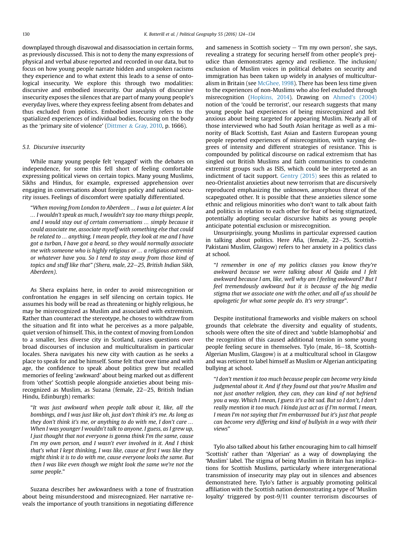downplayed through disavowal and disassociation in certain forms, as previously discussed. This is not to deny the many expressions of physical and verbal abuse reported and recorded in our data, but to focus on how young people narrate hidden and unspoken racisms they experience and to what extent this leads to a sense of ontological insecurity. We explore this through two modalities: discursive and embodied insecurity. Our analysis of discursive insecurity exposes the silences that are part of many young people's everyday lives, where they express feeling absent from debates and thus excluded from politics. Embodied insecurity refers to the spatialized experiences of individual bodies, focusing on the body as the 'primary site of violence' [\(Dittmer](#page-10-0) & [Gray, 2010,](#page-10-0) p. 1666).

#### 5.1. Discursive insecurity

While many young people felt 'engaged' with the debates on independence, for some this fell short of feeling comfortable expressing political views on certain topics. Many young Muslims, Sikhs and Hindus, for example, expressed apprehension over engaging in conversations about foreign policy and national security issues. Feelings of discomfort were spatially differentiated.

"When moving from London to Aberdeen … I was a lot quieter. A lot … I wouldn't speak as much, I wouldn't say too many things people, and I would stay out of certain conversations … simply because it could associate me, associate myself with something else that could be related to … anything. I mean people, they look at me and I have got a turban, I have got a beard, so they would normally associate me with someone who is highly religious or … a religious extremist or whatever have you. So I tend to stay away from those kind of topics and stuff like that" (Shera, male, 22-25, British Indian Sikh, Aberdeen).

As Shera explains here, in order to avoid misrecognition or confrontation he engages in self silencing on certain topics. He assumes his body will be read as threatening or highly religious, he may be misrecognized as Muslim and associated with extremism. Rather than counteract the stereotype, he choses to withdraw from the situation and fit into what he perceives as a more palpable, quiet version of himself. This, in the context of moving from London to a smaller, less diverse city in Scotland, raises questions over broad discourses of inclusion and multiculturalism in particular locales. Shera navigates his new city with caution as he seeks a place to speak for and be himself. Some felt that over time and with age, the confidence to speak about politics grew but recalled memories of feeling 'awkward' about being marked out as different from 'other' Scottish people alongside anxieties about being misrecognized as Muslim, as Suzana (female,  $22-25$ , British Indian Hindu, Edinburgh) remarks:

"It was just awkward when people talk about it, like, all the bombings, and I was just like oh, just don't think it's me. As long as they don't think it's me, or anything to do with me, I don't care … When I was younger I wouldn't talk to anyone. I guess, as I grew up, I just thought that not everyone is gonna think I'm the same, cause I'm my own person, and I wasn't ever involved in it. And I think that's what I kept thinking, I was like, cause at first I was like they might think it is to do with me, cause everyone looks the same. But then I was like even though we might look the same we're not the same people."

Suzana describes her awkwardness with a tone of frustration about being misunderstood and misrecognized. Her narrative reveals the importance of youth transitions in negotiating difference and sameness in Scottish society  $-$  'I'm my own person', she says, revealing a strategy for securing herself from other people's prejudice than demonstrates agency and resilience. The inclusion/ exclusion of Muslim voices in political debates on security and immigration has been taken up widely in analyses of multiculturalism in Britain (see [McGhee, 1998](#page-10-0)). There has been less time given to the experiences of non-Muslims who also feel excluded through misrecognition [\(Hopkins, 2014\)](#page-10-0). Drawing on Ahmed'[s \(2004\)](#page-10-0) notion of the 'could be terrorist', our research suggests that many young people had experiences of being misrecognized and felt anxious about being targeted for appearing Muslim. Nearly all of those interviewed who had South Asian heritage as well as a minority of Black Scottish, East Asian and Eastern European young people reported experiences of misrecognition, with varying degrees of intensity and different strategies of resistance. This is compounded by political discourse on radical extremism that has singled out British Muslims and faith communities to condemn extremist groups such as ISIS, which could be interpreted as an indictment of tacit support. [Gentry \(2015\)](#page-10-0) sees this as related to neo-Orientalist anxieties about new terrorism that are discursively reproduced emphasizing the unknown, amorphous threat of the scapegoated other. It is possible that these anxieties silence some ethnic and religious minorities who don't want to talk about faith and politics in relation to each other for fear of being stigmatized, potentially adopting secular discursive habits as young people anticipate potential exclusion or misrecognition.

Unsurprisingly, young Muslims in particular expressed caution in talking about politics. Here Afia, (female,  $22-25$ , Scottish-Pakistani Muslim, Glasgow) refers to her anxiety in a politics class at school.

"I remember in one of my politics classes you know they're awkward because we were talking about Al Qaida and I felt awkward because I am, like, well why am I feeling awkward? But I feel tremendously awkward but it is because of the big media stigma that we associate one with the other, and all of us should be apologetic for what some people do. It's very strange".

Despite institutional frameworks and visible makers on school grounds that celebrate the diversity and equality of students, schools were often the site of direct and 'subtle Islamophobia' and the recognition of this caused additional tension in some young people feeling secure in themselves. Tylo (male, 16–18, Scottish-Algerian Muslim, Glasgow) is at a multicultural school in Glasgow and was reticent to label himself as Muslim or Algerian anticipating bullying at school.

"I don't mention it too much because people can become very kinda judgmental about it. And if they found out that you're Muslim and not just another religion, they can, they can kind of not befriend you a way. Which I mean, I guess it's a bit sad. But so I don't, I don't really mention it too much. I kinda just act as if I'm normal. I mean, I mean I'm not saying that I'm embarrassed but it's just that people can become very differing and kind of bullyish in a way with their views"

Tylo also talked about his father encouraging him to call himself 'Scottish' rather than 'Algerian' as a way of downplaying the 'Muslim' label. The stigma of being Muslim in Britain has implications for Scottish Muslims, particularly where intergenerational transmission of insecurity may play out in silences and absences demonstrated here. Tylo's father is arguably promoting political affiliation with the Scottish nation demonstrating a type of 'Muslim loyalty' triggered by post-9/11 counter terrorism discourses of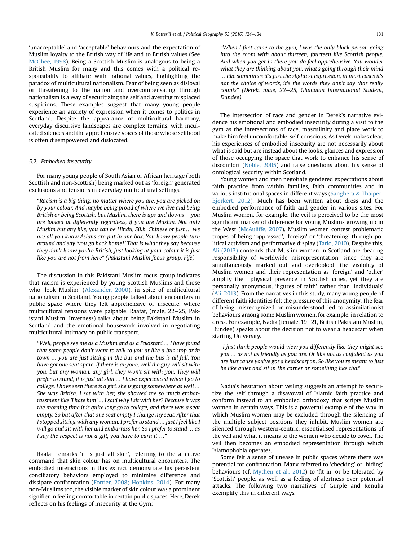'unacceptable' and 'acceptable' behaviours and the expectation of Muslim loyalty to the British way of life and to British values (See [McGhee, 1998\)](#page-10-0). Being a Scottish Muslim is analogous to being a British Muslim for many and this comes with a political responsibility to affiliate with national values, highlighting the paradox of multicultural nationalism. Fear of being seen as disloyal or threatening to the nation and overcompensating through nationalism is a way of securitizing the self and averting misplaced suspicions. These examples suggest that many young people experience an anxiety of expression when it comes to politics in Scotland. Despite the appearance of multicultural harmony, everyday discursive landscapes are complex terrains, with inculcated silences and the apprehensive voices of those whose selfhood is often disempowered and dislocated.

#### 5.2. Embodied insecurity

For many young people of South Asian or African heritage (both Scottish and non-Scottish) being marked out as 'foreign' generated exclusions and tensions in everyday multicultural settings.

"Racism is a big thing, no matter where you are, you are picked on by your colour. And maybe being proud of where we live and being British or being Scottish, but Muslim, there is ups and downs  $-$  you are looked at differently regardless, if you are Muslim. Not only Muslim but any like, you can be Hindu, Sikh, Chinese or just … we are all you know Asians are put in one box. You know people turn around and say 'you go back home!' That is what they say because they don't know you're British, just looking at your colour it is just like you are not from here" (Pakistani Muslim focus group, Fife)

The discussion in this Pakistani Muslim focus group indicates that racism is experienced by young Scottish Muslims and those who 'look Muslim' [\(Alexander, 2000](#page-10-0)), in spite of multicultural nationalism in Scotland. Young people talked about encounters in public space where they felt apprehensive or insecure, where multicultural tensions were palpable. Raafat, (male, 22–25, Pakistani Muslim, Inverness) talks about being Pakistani Muslim in Scotland and the emotional housework involved in negotiating multicultural intimacy on public transport.

"Well, people see me as a Muslim and as a Pakistani … I have found that some people don't want to talk to you at like a bus stop or in town … you are just sitting in the bus and the bus is all full. You have got one seat spare, if there is anyone, well the guy will sit with you, but any woman, any girl, they won't sit with you. They will prefer to stand, it is just all skin … I have experienced when I go to college, I have seen there is a girl, she is going somewhere as well … She was British. I sat with her, she showed me so much embarrassment like 'I hate him' … I said why I sit with her? Because it was the morning time it is quite long go to college, and there was a seat empty. So but after that one seat empty I change my seat. After that I stopped sitting with any woman. I prefer to stand … just I feel like I will go and sit with her and embarrass her. So I prefer to stand … as I say the respect is not a gift, you have to earn it …"

Raafat remarks 'it is just all skin', referring to the affective command that skin colour has on multicultural encounters. The embodied interactions in this extract demonstrate his persistent conciliatory behaviors employed to minimize difference and dissipate confrontation ([Fortier, 2008; Hopkins, 2014](#page-10-0)). For many non-Muslims too, the visible marker of skin colour was a prominent signifier in feeling comfortable in certain public spaces. Here, Derek reflects on his feelings of insecurity at the Gym:

"When I first came to the gym, I was the only black person going into the room with about thirteen, fourteen like Scottish people. And when you get in there you do feel apprehensive. You wonder what they are thinking about you, what's going through their mind … like sometimes it's just the slightest expression, in most cases it's not the choice of words, it's the words they don't say that really counts" (Derek, male, 22-25, Ghanaian International Student, Dundee)

The intersection of race and gender in Derek's narrative evidence his emotional and embodied insecurity during a visit to the gym as the intersections of race, masculinity and place work to make him feel uncomfortable, self-conscious. As Derek makes clear, his experiences of embodied insecurity are not necessarily about what is said but are instead about the looks, glances and expression of those occupying the space that work to enhance his sense of discomfort ([Noble, 2005\)](#page-10-0) and raise questions about his sense of ontological security within Scotland.

Young women and men negotiate gendered expectations about faith practice from within families, faith communities and in various institutional spaces in different ways [\(Sanghera](#page-11-0) & [Thaiper-](#page-11-0)[Bjorkert, 2012\)](#page-11-0). Much has been written about dress and the embodied performance of faith and gender in various sites. For Muslim women, for example, the veil is perceived to be the most significant marker of difference for young Muslims growing up in the West [\(McAuliffe, 2007\)](#page-10-0). Muslim women contest problematic tropes of being 'oppressed', 'foreign' or 'threatening' through political activism and performative display ([Tarlo, 2010\)](#page-11-0). Despite this, [Ali \(2013\)](#page-10-0) contends that Muslim women in Scotland are 'bearing responsibility of worldwide misrepresentation' since they are simultaneously marked out and overlooked: the visibility of Muslim women and their representation as 'foreign' and 'other' amplify their physical presence in Scottish cities, yet they are personally anonymous, 'figures of faith' rather than 'individuals' ([Ali, 2013\)](#page-10-0). From the narratives in this study, many young people of different faith identities felt the pressure of this anonymity. The fear of being misrecognized or misunderstood led to assimilationist behaviours among some Muslim women, for example, in relation to dress. For example, Nadia (female, 19-21, British Pakistani Muslim, Dundee) speaks about the decision not to wear a headscarf when starting University.

"I just think people would view you differently like they might see you … as not as friendly as you are. Or like not as confident as you are just cause you've got a headscarf on. So like you're meant to just be like quiet and sit in the corner or something like that"

Nadia's hesitation about veiling suggests an attempt to securitize the self through a disavowal of Islamic faith practice and conform instead to an embodied orthodoxy that scripts Muslim women in certain ways. This is a powerful example of the way in which Muslim women may be excluded through the silencing of the multiple subject positions they inhibit. Muslim women are silenced through western-centric, essentialised representations of the veil and what it means to the women who decide to cover. The veil then becomes an embodied representation through which Islamophobia operates.

Some felt a sense of unease in public spaces where there was potential for confrontation. Many referred to 'checking' or 'hiding' behaviours (cf. [Mythen et al., 2012\)](#page-10-0) to 'fit in' or be tolerated by 'Scottish' people, as well as a feeling of alertness over potential attacks. The following two narratives of Gurple and Renuka exemplify this in different ways.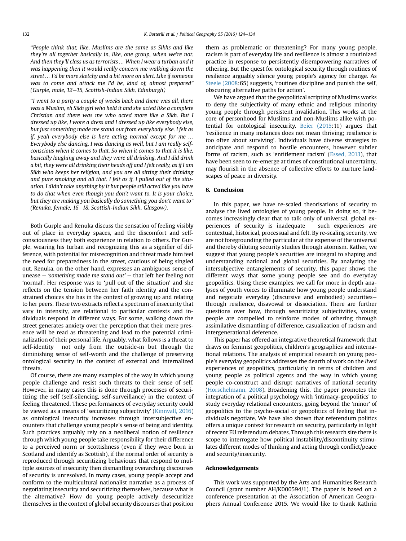"People think that, like, Muslims are the same as Sikhs and like they're all together basically in, like, one group, when we're not. And then they'll class us as terrorists … When I wear a turban and it was happening then it would really concern me walking down the street … I'd be more sketchy and a bit more on alert. Like if someone was to come and attack me I'd be, kind of, almost prepared" (Gurple, male,  $12-15$ , Scottish-Indian Sikh, Edinburgh)

"I went to a party a couple of weeks back and there was all, there was a Muslim, eh Sikh girl who held it and she acted like a complete Christian and there was me who acted more like a Sikh. But I dressed up like, I wore a dress and I dressed up like everybody else, but just something made me stand out from everybody else. I felt as if, yeah everybody else is here acting normal except for me … Everybody else dancing, I was dancing as well, but I am really selfconscious when it comes to that. So when it comes to that it is like, basically laughing away and they were all drinking. And I did drink a bit, they were all drinking their heads off and I felt really, as if I am Sikh who keeps her religion, and you are all sitting their drinking and pure smoking and all that. I felt as if, I pulled out of the situation. I didn't take anything by it but people still acted like you have to do that when even though you don't want to. It is your choice, but they are making you basically do something you don't want to" (Renuka, female, 16-18, Scottish-Indian Sikh, Glasgow).

Both Gurple and Renuka discuss the sensation of feeling visibly out of place in everyday spaces, and the discomfort and selfconsciousness they both experience in relation to others. For Gurple, wearing his turban and recognizing this as a signifier of difference, with potential for misrecognition and threat made him feel the need for preparedness in the street, cautious of being singled out. Renuka, on the other hand, expresses an ambiguous sense of unease  $-$  'something made me stand out'  $-$  that left her feeling not 'normal'. Her response was to 'pull out of the situation' and she reflects on the tension between her faith identity and the constrained choices she has in the context of growing up and relating to her peers. These two extracts reflect a spectrum of insecurity that vary in intensity, are relational to particular contexts and individuals respond in different ways. For some, walking down the street generates anxiety over the perception that their mere presence will be read as threatening and lead to the potential criminalization of their personal life. Arguably, what follows is a threat to self-identity- not only from the outside-in but through the diminishing sense of self-worth and the challenge of preserving ontological security in the context of external and internalized threats.

Of course, there are many examples of the way in which young people challenge and resist such threats to their sense of self. However, in many cases this is done through processes of securitizing the self (self-silencing, self-surveillance) in the context of feeling threatened. These performances of everyday security could be viewed as a means of 'securitizing subjectivity' [\(Kinnvall, 2016\)](#page-10-0) as ontological insecurity increases through intersubjective encounters that challenge young people's sense of being and identity. Such practices arguably rely on a neoliberal notion of resilience through which young people take responsibility for their difference to a perceived norm or Scottishness (even if they were born in Scotland and identify as Scottish), if the normal order of security is reproduced through securitizing behaviours that respond to multiple sources of insecurity then dismantling overarching discourses of security is unresolved. In many cases, young people accept and conform to the multicultural nationalist narrative as a process of negotiating insecurity and securitizing themselves, because what is the alternative? How do young people actively desecuritize themselves in the context of global security discourses that position them as problematic or threatening? For many young people, racism is part of everyday life and resilience is almost a routinized practice in response to persistently disempowering narratives of othering. But the quest for ontological security through routines of resilience arguably silence young people's agency for change. As [Steele \(2008](#page-11-0):65) suggests, 'routines discipline and punish the self, obscuring alternative paths for action'.

We have argued that the geopolitical scripting of Muslims works to deny the subjectivity of many ethnic and religious minority young people through persistent invalidation. This works at the core of personhood for Muslims and non-Muslims alike with potential for ontological insecurity. [Beier \(2015:](#page-10-0)11) argues that 'resilience in many instances does not mean thriving; resilience is too often about surviving'. Individuals have diverse strategies to anticipate and respond to hostile encounters, however subtler forms of racism, such as 'entitlement racism' [\(Essed, 2013](#page-10-0)), that have been seen to re-emerge at times of constitutional uncertainty, may flourish in the absence of collective efforts to nurture landscapes of peace in diversity.

#### 6. Conclusion

In this paper, we have re-scaled theorisations of security to analyse the lived ontologies of young people. In doing so, it becomes increasingly clear that to talk only of universal, global experiences of security is inadequate  $-$  such experiences are contextual, historical, processual and felt. By re-scaling security, we are not foregrounding the particular at the expense of the universal and thereby diluting security studies through atomism. Rather, we suggest that young people's securities are integral to shaping and understanding national and global securities. By analyzing the intersubjective entanglements of security, this paper shows the different ways that some young people see and do everyday geopolitics. Using these examples, we call for more in depth analyses of youth voices to illuminate how young people understand and negotiate everyday (discursive and embodied) securitiesthrough resilience, disavowal or dissociation. There are further questions over how, through securitizing subjectivities, young people are compelled to reinforce modes of othering through assimilative dismantling of difference, casualization of racism and intergenerational deference.

This paper has offered an integrative theoretical framework that draws on feminist geopolitics, children's geographies and international relations. The analysis of empirical research on young people's everyday geopolitics addresses the dearth of work on the lived experiences of geopolitics, particularly in terms of children and young people as political agents and the way in which young people co-construct and disrupt narratives of national security ([Horschelmann, 2008\)](#page-10-0). Broadening this, the paper promotes the integration of a political psychology with 'intimacy-geopolitics' to study everyday relational encounters, going beyond the 'minor' of geopolitics to the psycho-social or geopolitics of feeling that individuals negotiate. We have also shown that referendum politics offers a unique context for research on security, particularly in light of recent EU referendum debates. Through this research site there is scope to interrogate how political instability/discontinuity stimulates different modes of thinking and acting through conflict/peace and security/insecurity.

#### Acknowledgements

This work was supported by the Arts and Humanities Research Council (grant number AH/K000594/1). The paper is based on a conference presentation at the Association of American Geographers Annual Conference 2015. We would like to thank Kathrin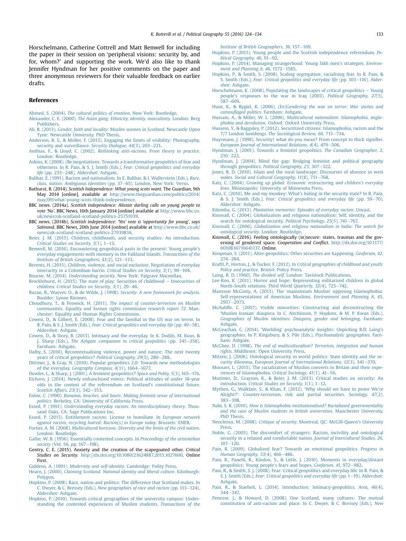<span id="page-10-0"></span>Horschelmann, Catherine Cottrell and Matt Benwell for including the paper in their session on 'peripheral visions: security by, and for, whom?' and supporting the work. We'd also like to thank Jennifer Hyndman for her positive comments on the paper and three anonymous reviewers for their valuable feedback on earlier drafts.

#### References

- Ahmed, S. (2004). [The cultural politics of emotion](http://refhub.elsevier.com/S0962-6298(16)30157-3/sref1). New York: Routledge.
- Alexander, C. E. (2000). [The Asian gang: Ethnicity, identity, masculinity](http://refhub.elsevier.com/S0962-6298(16)30157-3/sref2). London: Berg [Publishers.](http://refhub.elsevier.com/S0962-6298(16)30157-3/sref2)
- Ali, R. (2013). [Gender, faith and locality: Muslim women in Scotland](http://refhub.elsevier.com/S0962-6298(16)30157-3/sref3). Newcastle Upon [Tyne: Newcastle University. PhD Thesis.](http://refhub.elsevier.com/S0962-6298(16)30157-3/sref3)

[Anderson, R. S., & Moller, F. \(2013\). Engaging the limits of visibility: Photography,](http://refhub.elsevier.com/S0962-6298(16)30157-3/sref4) [security and surveillance.](http://refhub.elsevier.com/S0962-6298(16)30157-3/sref4) Security Dialogue, 44(3), 203-[221.](http://refhub.elsevier.com/S0962-6298(16)30157-3/sref4)

- Anthias, F., & Lloyd, C. (2002). [Rethinking anti-racisms. From theory to practice](http://refhub.elsevier.com/S0962-6298(16)30157-3/sref5). [London: Routledge.](http://refhub.elsevier.com/S0962-6298(16)30157-3/sref5)
- [Askins, K. \(2008\). \(Re\)negotiations: Towards a transformative geopolitics of fear and](http://refhub.elsevier.com/S0962-6298(16)30157-3/sref6) [otherness. In R. Pain, & S. J. Smith \(Eds.\),](http://refhub.elsevier.com/S0962-6298(16)30157-3/sref6) Fear: Critical geopolitics and everyday life [\(pp. 235](http://refhub.elsevier.com/S0962-6298(16)30157-3/sref6)-[248\). Aldershot: Ashgate.](http://refhub.elsevier.com/S0962-6298(16)30157-3/sref6)

[Balibar, E. \(1991\). Racism and nationalism. In E. Balibar, & I. Wallerstein \(Eds.\),](http://refhub.elsevier.com/S0962-6298(16)30157-3/sref7) Race, [class, nation: Ambiguous identities](http://refhub.elsevier.com/S0962-6298(16)30157-3/sref7) (pp. 37-[65\). London, New York: Verso.](http://refhub.elsevier.com/S0962-6298(16)30157-3/sref7)

- Bathurst, B. (2014). Scottish Independence: What young scots want. The Guardian, 9th May 2014 [online], available at [http://www.theguardian.com/politics/2014/](http://www.theguardian.com/politics/2014/may/09/what-young-scots-think-independence) [may/09/what-young-scots-think-independence.](http://www.theguardian.com/politics/2014/may/09/what-young-scots-think-independence)
- BBC news. (2014a). Scottish independence: Alistair darling calls on young people to vote 'No'. BBC News, 16th January 2014 [online] available at [http://www.bbc.co.](http://www.bbc.co.uk/news/uk-scotland-scotland-politics-25751939) [uk/news/uk-scotland-scotland-politics-25751939](http://www.bbc.co.uk/news/uk-scotland-scotland-politics-25751939).

BBC news. (2014b). Scottish independence: 'Yes' vote is 'opportunity for young', says Salmond. BBC News, 20th June 2014 [online] available at [http://www.bbc.co.uk/](http://www.bbc.co.uk/news/uk-scotland-scotland-politics-27939816) [news/uk-scotland-scotland-politics-27939816](http://www.bbc.co.uk/news/uk-scotland-scotland-politics-27939816).

[Beier, J. M. \(2015\). Children, childhoods, and security studies: An introduction.](http://refhub.elsevier.com/S0962-6298(16)30157-3/sref12) Critical Studies on Security,  $3(1)$ ,  $1-13$  $1-13$ .

- [Benwell, M. \(2016\). Encountering geopolitical pasts in the present: Young people's](http://refhub.elsevier.com/S0962-6298(16)30157-3/sref13) [everyday engagements with memory in the Falkland Islands.](http://refhub.elsevier.com/S0962-6298(16)30157-3/sref13) Transactions of the Institute of British Geographers,  $41(2)$ ,  $121-133$  $121-133$ .
- [Berents, H. \(2015\). Children, violence, and social exclusion: Negotiation of everyday](http://refhub.elsevier.com/S0962-6298(16)30157-3/sref14) [insecurity in a Colombian barrio.](http://refhub.elsevier.com/S0962-6298(16)30157-3/sref14) Critical Studies on Security,  $3(1)$ ,  $90-104$  $90-104$ .

Bourne, M. (2014). Understanding security[. New York: Palgrave Macmillan.](http://refhub.elsevier.com/S0962-6298(16)30157-3/sref15)

- [Brocklehurst, H. \(2015\). The state of play: Securities of childhood](http://refhub.elsevier.com/S0962-6298(16)30157-3/sref16)  $-$  [Insecurities of](http://refhub.elsevier.com/S0962-6298(16)30157-3/sref16) children. Critical Studies on Security,  $3(1)$ , 29-[46](http://refhub.elsevier.com/S0962-6298(16)30157-3/sref16).
- [Buzan, B., Waever, O., & de Wilde, J. \(1998\).](http://refhub.elsevier.com/S0962-6298(16)30157-3/sref17) Security: A new framework for analysis. [Boulder: Lynne Rienner](http://refhub.elsevier.com/S0962-6298(16)30157-3/sref17).
- Choudhury, T., & Fenwick, H. (2011). [The impact of counter-terrorism on Muslim](http://refhub.elsevier.com/S0962-6298(16)30157-3/sref18) [communities. Equality and human rights commission research report 72](http://refhub.elsevier.com/S0962-6298(16)30157-3/sref18). Man[chester: Equality and Human Rights Commission.](http://refhub.elsevier.com/S0962-6298(16)30157-3/sref18)
- [Cowen, D., & Gilbert, E. \(2008\). Fear and the familial in the US war on terror. In](http://refhub.elsevier.com/S0962-6298(16)30157-3/sref19) R. Pain, & S. J. Smith (Eds.), [Fear: Critical geopolitics and everyday life](http://refhub.elsevier.com/S0962-6298(16)30157-3/sref19) (pp. 49-[58\).](http://refhub.elsevier.com/S0962-6298(16)30157-3/sref19) [Aldershot: Ashgate](http://refhub.elsevier.com/S0962-6298(16)30157-3/sref19).
- [Cowen, D., & Story, B. \(2013\). Intimacy and the everyday. In K. Dodds, M. Kuus, &](http://refhub.elsevier.com/S0962-6298(16)30157-3/sref20) J. Sharp (Eds.), [The Ashgate companion to critical geopolitics](http://refhub.elsevier.com/S0962-6298(16)30157-3/sref20) (pp. 341–[358\).](http://refhub.elsevier.com/S0962-6298(16)30157-3/sref20) [Farnham: Ashgate.](http://refhub.elsevier.com/S0962-6298(16)30157-3/sref20)
- [Dalby, S. \(2010\). Recontextualising violence, power and nature: The next twenty](http://refhub.elsevier.com/S0962-6298(16)30157-3/sref21) [years of critical geopolitics?](http://refhub.elsevier.com/S0962-6298(16)30157-3/sref21) Political Geography, 29(5), 280-[288.](http://refhub.elsevier.com/S0962-6298(16)30157-3/sref21)
- [Dittmer, J., & Gray, N. \(2010\). Popular geopolitics 2.0: Towards new methodologies](http://refhub.elsevier.com/S0962-6298(16)30157-3/sref22) of the everyday. [Geography Compass, 4](http://refhub.elsevier.com/S0962-6298(16)30157-3/sref22)(11), 1664-[1677.](http://refhub.elsevier.com/S0962-6298(16)30157-3/sref22)
- [Dowler, L., & Sharp, J. \(2001\). A feminist geopolitics?](http://refhub.elsevier.com/S0962-6298(16)30157-3/sref23) Space and Polity, 5(3), 165-[176](http://refhub.elsevier.com/S0962-6298(16)30157-3/sref23).
- [Eichorn, J. \(2014\). Newly enfranchised voters: Political attitudes of under 18-year](http://refhub.elsevier.com/S0962-6298(16)30157-3/sref24) [olds in the context of the referendum on Scotland's constitutional future.](http://refhub.elsevier.com/S0962-6298(16)30157-3/sref24) [Scottish Affairs, 23](http://refhub.elsevier.com/S0962-6298(16)30157-3/sref24)(3), 342-[353.](http://refhub.elsevier.com/S0962-6298(16)30157-3/sref24)
- Enloe, C. (1990). [Bananas, beaches, and bases: Making feminist sense of international](http://refhub.elsevier.com/S0962-6298(16)30157-3/sref25) politics[. Berkeley, CA: University of California Press](http://refhub.elsevier.com/S0962-6298(16)30157-3/sref25).

Essed, P. (1991). [Understanding everyday racism: An interdisciplinary theory](http://refhub.elsevier.com/S0962-6298(16)30157-3/sref26). Thou[sand Oaks, CA: Sage Publications Inc](http://refhub.elsevier.com/S0962-6298(16)30157-3/sref26).

- [Essed, P. \(2013\). Entitlement racism: License to humiliate. In](http://refhub.elsevier.com/S0962-6298(16)30157-3/sref27) European network [against racism, recycling hatred: Racism\(s\) in Europe today](http://refhub.elsevier.com/S0962-6298(16)30157-3/sref27). Brussels: ENER.
- Fortier, A. M. (2008). [Multicultural horizons: Diversity and the limits of the civil nation](http://refhub.elsevier.com/S0962-6298(16)30157-3/sref28). [London: Routledge.](http://refhub.elsevier.com/S0962-6298(16)30157-3/sref28)
- [Gallie, W. B. \(1956\). Essentially contested concepts. In](http://refhub.elsevier.com/S0962-6298(16)30157-3/sref29) Proceedings of the aristotelian society [\(Vol. 56, pp. 167](http://refhub.elsevier.com/S0962-6298(16)30157-3/sref29)-[198\)](http://refhub.elsevier.com/S0962-6298(16)30157-3/sref29).
- Gentry, C. E. (2015). Anxiety and the creation of the scapegoated other. Critical Studies on Security. <http://dx.doi.org/10.1080/21624887.2015.1027600>. Online First.

Giddens, A. (1991). [Modernity and self-identity](http://refhub.elsevier.com/S0962-6298(16)30157-3/sref31). Cambridge: Polity Press.

Hearn, J. (2000). [Claiming Scotland: National identity and liberal culture](http://refhub.elsevier.com/S0962-6298(16)30157-3/sref32). Edinburgh: [Polygon.](http://refhub.elsevier.com/S0962-6298(16)30157-3/sref32)

- [Hopkins, P. \(2008\). Race, nation and politics: The difference that Scotland makes. In](http://refhub.elsevier.com/S0962-6298(16)30157-3/sref33) C. Dwyer, & C. Bressey (Eds.), [New geographies of race and racism](http://refhub.elsevier.com/S0962-6298(16)30157-3/sref33) (pp. 113-[124\).](http://refhub.elsevier.com/S0962-6298(16)30157-3/sref33) [Aldershot: Ashgate](http://refhub.elsevier.com/S0962-6298(16)30157-3/sref33).
- [Hopkins, P. \(2010\). Towards critical geographies of the university campus: Under](http://refhub.elsevier.com/S0962-6298(16)30157-3/sref34)[standing the contested experiences of Muslim students.](http://refhub.elsevier.com/S0962-6298(16)30157-3/sref34) Transactions of the

[Institute of British Geographers, 36](http://refhub.elsevier.com/S0962-6298(16)30157-3/sref34), 157-[169.](http://refhub.elsevier.com/S0962-6298(16)30157-3/sref34)

- [Hopkins, P. \(2015\). Young people and the Scottish independence referendum.](http://refhub.elsevier.com/S0962-6298(16)30157-3/sref35) Political Geography,  $46, 91-92$ .
- [Hopkins, P. \(2014\). Managing strangerhood: Young Sikh men's strategies.](http://refhub.elsevier.com/S0962-6298(16)30157-3/sref36) Environment and Planning A,  $46, 1572 - 1585$ .
- [Hopkins, P., & Smith, S. \(2008\). Scaling segregation; racialising fear. In R. Pain, &](http://refhub.elsevier.com/S0962-6298(16)30157-3/sref37) S. Smith (Eds.), [Fear: Critical geopolitics and everyday life](http://refhub.elsevier.com/S0962-6298(16)30157-3/sref37) (pp. 103-[116\). Alder](http://refhub.elsevier.com/S0962-6298(16)30157-3/sref37)[shot: Ashgate.](http://refhub.elsevier.com/S0962-6298(16)30157-3/sref37)
- [Horschelmann, K. \(2008\). Populating the landscapes of critical geopolitics](http://refhub.elsevier.com/S0962-6298(16)30157-3/sref38)  $-$  [Young](http://refhub.elsevier.com/S0962-6298(16)30157-3/sref38) [people's responses to the war in Iraq \(2003\).](http://refhub.elsevier.com/S0962-6298(16)30157-3/sref38) Political Geography, 27(5), [587](http://refhub.elsevier.com/S0962-6298(16)30157-3/sref38)-[609.](http://refhub.elsevier.com/S0962-6298(16)30157-3/sref38)
- Hunt, K., & Rygiel, K. (2006). [\(En\)Gendering the war on terror: War stories and](http://refhub.elsevier.com/S0962-6298(16)30157-3/sref39) camouflaged politics[. Farnham: Ashgate](http://refhub.elsevier.com/S0962-6298(16)30157-3/sref39).
- Hussain, A., & Miller, W. L. (2006). [Multicultural nationalism: Islamophobia, anglo](http://refhub.elsevier.com/S0962-6298(16)30157-3/sref40)phobia and devolution[. Oxford: Oxford University Press](http://refhub.elsevier.com/S0962-6298(16)30157-3/sref40).
- [Hussein, Y., & Bagguley, P. \(2012\). Securitized citizens: Islamophobia, racism and the](http://refhub.elsevier.com/S0962-6298(16)30157-3/sref41) 7/7 London bombings. [The Sociological Review, 60](http://refhub.elsevier.com/S0962-6298(16)30157-3/sref41), 715 $-734$ .
- [Huysmans, J. \(1998\). Security! what do you mean? From concept to thick signi](http://refhub.elsevier.com/S0962-6298(16)30157-3/sref42)fier. [European Journal of International Relations, 4](http://refhub.elsevier.com/S0962-6298(16)30157-3/sref42)(4), 479-[506.](http://refhub.elsevier.com/S0962-6298(16)30157-3/sref42)
- [Hyndman, J. \(2001\). Towards a feminist geopolitics.](http://refhub.elsevier.com/S0962-6298(16)30157-3/sref43) The Canadian Geographer, 2,  $210 - 222$  $210 - 222$
- [Hyndman, J. \(2004\). Mind the gap: Bridging feminist and political geography](http://refhub.elsevier.com/S0962-6298(16)30157-3/sref44) through geopolitics. *Political Geography*, 23, 307–[322.](http://refhub.elsevier.com/S0962-6298(16)30157-3/sref44)
- [Jones, R. D. \(2010\). Islam and the rural landscape: Discourses of absence in west](http://refhub.elsevier.com/S0962-6298(16)30157-3/sref45) wales. [Social and Cultural Geography, 11](http://refhub.elsevier.com/S0962-6298(16)30157-3/sref45)(8), 751-[768.](http://refhub.elsevier.com/S0962-6298(16)30157-3/sref45)
- Katz, C. (2004). [Growing up global: Economic restructuring and children's everyday](http://refhub.elsevier.com/S0962-6298(16)30157-3/sref46) lives[. Minneapolis: University of Minnesota Press.](http://refhub.elsevier.com/S0962-6298(16)30157-3/sref46)
- [Katz, C. \(2010\). Me and my monkey: What's hiding in the security state? In R. Pain,](http://refhub.elsevier.com/S0962-6298(16)30157-3/sref47) & S. J. Smith (Eds.), [Fear: Critical geopolitics and everyday life](http://refhub.elsevier.com/S0962-6298(16)30157-3/sref47) (pp. 59-[70\).](http://refhub.elsevier.com/S0962-6298(16)30157-3/sref47) [Aldershot: Ashgate](http://refhub.elsevier.com/S0962-6298(16)30157-3/sref47).
- Kilomba, G. (2013). [Plantation memories: Episodes of everyday racism](http://refhub.elsevier.com/S0962-6298(16)30157-3/sref48). Unrast.
- [Kinnvall, C. \(2004\). Globalization and religious nationalism: Self, identity, and the](http://refhub.elsevier.com/S0962-6298(16)30157-3/sref49) [search for ontological security.](http://refhub.elsevier.com/S0962-6298(16)30157-3/sref49) Political Psychology, 25(5), 741-[767.](http://refhub.elsevier.com/S0962-6298(16)30157-3/sref49)
- Kinnvall, C. (2006). [Globalization and religious nationalism in India: The search for](http://refhub.elsevier.com/S0962-6298(16)30157-3/sref50) ontological security[. London: Routledge](http://refhub.elsevier.com/S0962-6298(16)30157-3/sref50).
- Kinnvall, C. (2016). Feeling ontologically (in)secure: states, traumas and the governing of gendered space. Cooperation and Conflict. [http://dx.doi.org/10.1177/](http://dx.doi.org/10.1177/0010836716641137) [0010836716641137.](http://dx.doi.org/10.1177/0010836716641137) Online.
- [Koopman, S. \(2011\). Alter-geopolitics: Other securities are happening.](http://refhub.elsevier.com/S0962-6298(16)30157-3/sref52) Geoforum, 42,  $274 - 284$  $274 - 284$
- Kraftl, P., Horton, J., & Tucker, F. (2012). In [Critical geographies of childhood and youth:](http://refhub.elsevier.com/S0962-6298(16)30157-3/sref53) Policy and practice[. Bristol: Policy Press](http://refhub.elsevier.com/S0962-6298(16)30157-3/sref53).
- Laing, R. D. (1960). The divided self[. London: Tavistock Publications](http://refhub.elsevier.com/S0962-6298(16)30157-3/sref54).
- [Lee-Koo, K. \(2011\). Horror and hope: Representing militarised children in global](http://refhub.elsevier.com/S0962-6298(16)30157-3/sref55) North-South relations. [Third World Quarterly, 32](http://refhub.elsevier.com/S0962-6298(16)30157-3/sref55)(4), 725-[742.](http://refhub.elsevier.com/S0962-6298(16)30157-3/sref55)
- [Mansson McGinty, A. \(2013\). The](http://refhub.elsevier.com/S0962-6298(16)30157-3/sref56) 'mainstream Muslim' opposing Islamophobia: [Self-representations of American Muslims.](http://refhub.elsevier.com/S0962-6298(16)30157-3/sref56) Environment and Planning A, 45,  $2957 - 2973$  $2957 - 2973$  $2957 - 2973$ .
- [McAuliffe, C. \(2007\). Visible minorities: Constructing and deconstructing the](http://refhub.elsevier.com/S0962-6298(16)30157-3/sref57) 'Muslim Iranian' diaspora. In C. Aitchinson, P. Hopkins, & M. P. Kwan (Eds.) [Geographies of Muslim identities: Diaspora, gender and belonging](http://refhub.elsevier.com/S0962-6298(16)30157-3/sref57). Farnham: [Ashgate](http://refhub.elsevier.com/S0962-6298(16)30157-3/sref57).
- McGeachan, C. (2014). 'Worlding' [psychoanalytic insights: Unpicking R.D. Laing's](http://refhub.elsevier.com/S0962-6298(16)30157-3/sref58) [geographies. In P. Kingsbury, & S. Pile \(Eds.\),](http://refhub.elsevier.com/S0962-6298(16)30157-3/sref58) Psychoanalytic geographies. Farn[ham: Ashgate](http://refhub.elsevier.com/S0962-6298(16)30157-3/sref58).
- McGhee, D. (1998). [The end of multiculturalism? Terrorism, integration and human](http://refhub.elsevier.com/S0962-6298(16)30157-3/sref59) rights[. Middlesex: Open University Press.](http://refhub.elsevier.com/S0962-6298(16)30157-3/sref59)
- [Mitzen, J. \(2006\). Ontological security in world politics: State identity and the se-](http://refhub.elsevier.com/S0962-6298(16)30157-3/sref60)curity dilemma. [European Journal of International Relations, 12](http://refhub.elsevier.com/S0962-6298(16)30157-3/sref60)(3), 341-[370](http://refhub.elsevier.com/S0962-6298(16)30157-3/sref60).
- [Moosavi, L. \(2015\). The racialization of Muslim converts in Britain and their expe](http://refhub.elsevier.com/S0962-6298(16)30157-3/sref61)[riences of Islamophobia.](http://refhub.elsevier.com/S0962-6298(16)30157-3/sref61) Critical Sociology, 41(1), 41-[56.](http://refhub.elsevier.com/S0962-6298(16)30157-3/sref61)
- [Mutimer, D., Grayson, K., & Beier, J. M. \(2013\). Critical studies on security: An](http://refhub.elsevier.com/S0962-6298(16)30157-3/sref62)
- introduction. [Critical Studies on Security, 1](http://refhub.elsevier.com/S0962-6298(16)30157-3/sref62)(1), 1–[12](http://refhub.elsevier.com/S0962-6298(16)30157-3/sref62).<br>[Mythen, G., Walklate, S., & Khan, F. \(2012\).](http://refhub.elsevier.com/S0962-6298(16)30157-3/sref63) 'Why should we have to prove We're Alright?'[: Counter-terrorism, risk and partial securities.](http://refhub.elsevier.com/S0962-6298(16)30157-3/sref63) Sociology, 47(2), [383](http://refhub.elsevier.com/S0962-6298(16)30157-3/sref63)-[398](http://refhub.elsevier.com/S0962-6298(16)30157-3/sref63)
- Nabi, S. R. (2010). [How is Islamophobia institutionalised? Racialiased governmentality](http://refhub.elsevier.com/S0962-6298(16)30157-3/sref64) [and the case of Muslim students in british universities](http://refhub.elsevier.com/S0962-6298(16)30157-3/sref64). Manchester University. [PhD Thesis.](http://refhub.elsevier.com/S0962-6298(16)30157-3/sref64)
- Neocleous, M. (2008). Critique of security[. Montreal, QC: McGill-Queen](http://refhub.elsevier.com/S0962-6298(16)30157-3/sref65)'s University [Press](http://refhub.elsevier.com/S0962-6298(16)30157-3/sref65).
- [Noble, G. \(2005\). The discomfort of strangers: Racism, incivility and ontological](http://refhub.elsevier.com/S0962-6298(16)30157-3/sref66) [security in a relaxed and comfortable nation.](http://refhub.elsevier.com/S0962-6298(16)30157-3/sref66) Journal of Intercultural Studies, 26,  $107 - 120$  $107 - 120$  $107 - 120$ .
- [Pain, R. \(2009\). Globalized fear? Towards an emotional geopolitics.](http://refhub.elsevier.com/S0962-6298(16)30157-3/sref67) Progress in [Human Geography, 33](http://refhub.elsevier.com/S0962-6298(16)30157-3/sref67)(4), 466-[486](http://refhub.elsevier.com/S0962-6298(16)30157-3/sref67).
- [Pain, R., Panelli, R., Kindon, S., & Little, J. \(2010\). Moments in everyday/distant](http://refhub.elsevier.com/S0962-6298(16)30157-3/sref68) [geopolitics: Young people's fears and hopes.](http://refhub.elsevier.com/S0962-6298(16)30157-3/sref68) Geoforum, 41, 972-[982](http://refhub.elsevier.com/S0962-6298(16)30157-3/sref68).
- [Pain, R., & Smith, S. J. \(2008\). Fear: Critical geopolitics and everyday life. In R. Pain, &](http://refhub.elsevier.com/S0962-6298(16)30157-3/sref69) S. J. Smith (Eds.), [Fear: Critical geopolitics and everyday life](http://refhub.elsevier.com/S0962-6298(16)30157-3/sref69) (pp. 1-[19\). Aldershot:](http://refhub.elsevier.com/S0962-6298(16)30157-3/sref69) [Ashgate](http://refhub.elsevier.com/S0962-6298(16)30157-3/sref69).
- [Pain, R., & Staeheli, L. \(2014\). Introduction: Intimacy-geopolitics.](http://refhub.elsevier.com/S0962-6298(16)30157-3/sref70) Area, 46(4),  $344 - 347$  $344 - 347$ .
- [Penrose, J., & Howard, D. \(2008\). One Scotland, many cultures: The mutual](http://refhub.elsevier.com/S0962-6298(16)30157-3/sref71) [constitution of anti-racism and place. In C. Dwyer, & C. Bressey \(Eds.\),](http://refhub.elsevier.com/S0962-6298(16)30157-3/sref71) New